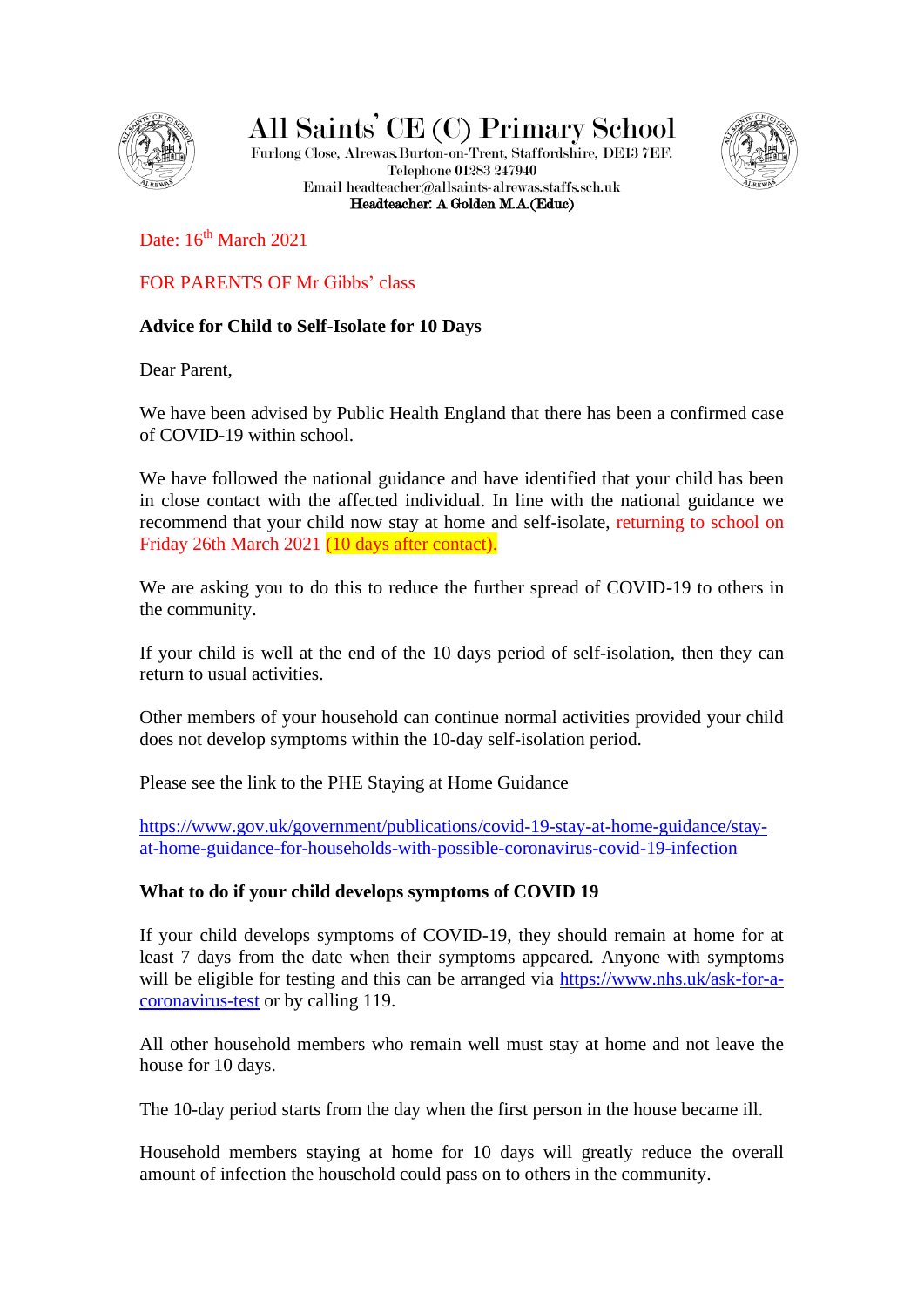

All Saints' CE (C) Primary School

Furlong Close, Alrewas.Burton-on-Trent, Staffordshire, DE13 7EF. Telephone 01283 247940 Email headteacher@allsaints-alrewas.staffs.sch.uk Headteacher: A Golden M.A.(Educ)



Date:  $16<sup>th</sup> March 2021$ 

FOR PARENTS OF Mr Gibbs' class

# **Advice for Child to Self-Isolate for 10 Days**

Dear Parent,

We have been advised by Public Health England that there has been a confirmed case of COVID-19 within school.

We have followed the national guidance and have identified that your child has been in close contact with the affected individual. In line with the national guidance we recommend that your child now stay at home and self-isolate, returning to school on Friday 26th March 2021 (10 days after contact).

We are asking you to do this to reduce the further spread of COVID-19 to others in the community.

If your child is well at the end of the 10 days period of self-isolation, then they can return to usual activities.

Other members of your household can continue normal activities provided your child does not develop symptoms within the 10-day self-isolation period.

Please see the link to the PHE Staying at Home Guidance

[https://www.gov.uk/government/publications/covid-19-stay-at-home-guidance/stay](https://www.gov.uk/government/publications/covid-19-stay-at-home-guidance/stay-at-home-guidance-for-households-with-possible-coronavirus-covid-19-infection)[at-home-guidance-for-households-with-possible-coronavirus-covid-19-infection](https://www.gov.uk/government/publications/covid-19-stay-at-home-guidance/stay-at-home-guidance-for-households-with-possible-coronavirus-covid-19-infection)

## **What to do if your child develops symptoms of COVID 19**

If your child develops symptoms of COVID-19, they should remain at home for at least 7 days from the date when their symptoms appeared. Anyone with symptoms will be eligible for testing and this can be arranged via [https://www.nhs.uk/ask-for-a](https://www.nhs.uk/ask-for-a-coronavirus-test)[coronavirus-test](https://www.nhs.uk/ask-for-a-coronavirus-test) or by calling 119.

All other household members who remain well must stay at home and not leave the house for 10 days.

The 10-day period starts from the day when the first person in the house became ill.

Household members staying at home for 10 days will greatly reduce the overall amount of infection the household could pass on to others in the community.